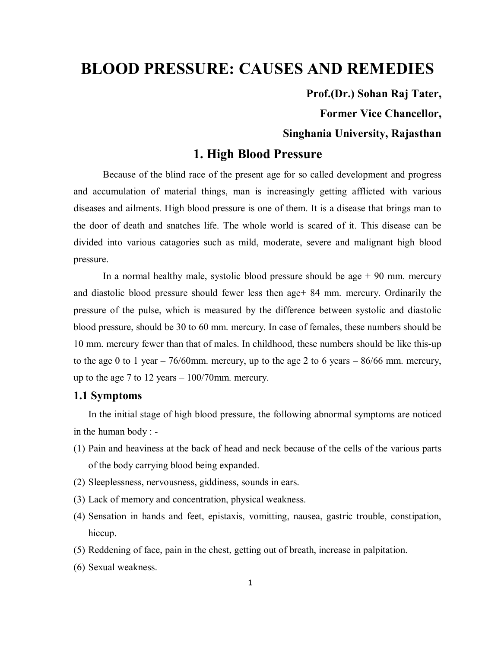# **BLOOD PRESSURE: CAUSES AND REMEDIES**

**Prof.(Dr.) Sohan Raj Tater,** 

**Former Vice Chancellor,** 

# **Singhania University, Rajasthan**

# **1. High Blood Pressure**

 Because of the blind race of the present age for so called development and progress and accumulation of material things, man is increasingly getting afflicted with various diseases and ailments. High blood pressure is one of them. It is a disease that brings man to the door of death and snatches life. The whole world is scared of it. This disease can be divided into various catagories such as mild, moderate, severe and malignant high blood pressure.

In a normal healthy male, systolic blood pressure should be age  $+90$  mm. mercury and diastolic blood pressure should fewer less then age+ 84 mm. mercury. Ordinarily the pressure of the pulse, which is measured by the difference between systolic and diastolic blood pressure, should be 30 to 60 mm. mercury. In case of females, these numbers should be 10 mm. mercury fewer than that of males. In childhood, these numbers should be like this-up to the age 0 to 1 year  $-76/60$ mm. mercury, up to the age 2 to 6 years  $-86/66$  mm. mercury, up to the age 7 to 12 years – 100/70mm. mercury.

# **1.1 Symptoms**

In the initial stage of high blood pressure, the following abnormal symptoms are noticed in the human body : -

- (1) Pain and heaviness at the back of head and neck because of the cells of the various parts of the body carrying blood being expanded.
- (2) Sleeplessness, nervousness, giddiness, sounds in ears.
- (3) Lack of memory and concentration, physical weakness.
- (4) Sensation in hands and feet, epistaxis, vomitting, nausea, gastric trouble, constipation, hiccup.
- (5) Reddening of face, pain in the chest, getting out of breath, increase in palpitation.
- (6) Sexual weakness.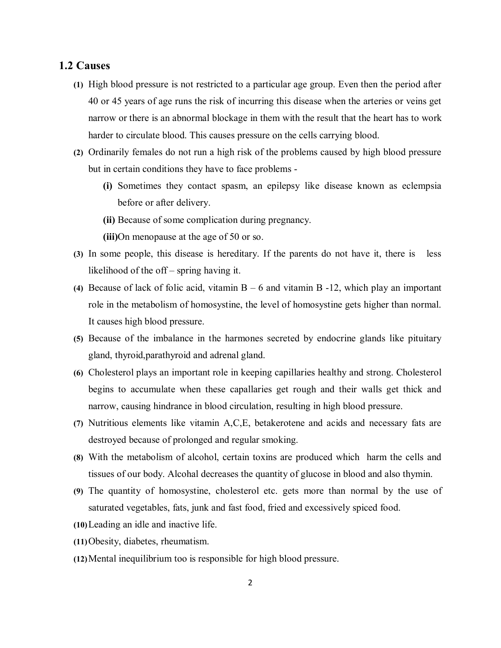# **1.2 Causes**

- **(1)** High blood pressure is not restricted to a particular age group. Even then the period after 40 or 45 years of age runs the risk of incurring this disease when the arteries or veins get narrow or there is an abnormal blockage in them with the result that the heart has to work harder to circulate blood. This causes pressure on the cells carrying blood.
- **(2)** Ordinarily females do not run a high risk of the problems caused by high blood pressure but in certain conditions they have to face problems -
	- **(i)** Sometimes they contact spasm, an epilepsy like disease known as eclempsia before or after delivery.
	- **(ii)** Because of some complication during pregnancy.
	- **(iii)**On menopause at the age of 50 or so.
- **(3)** In some people, this disease is hereditary. If the parents do not have it, there is less likelihood of the off – spring having it.
- **(4)** Because of lack of folic acid, vitamin B 6 and vitamin B -12, which play an important role in the metabolism of homosystine, the level of homosystine gets higher than normal. It causes high blood pressure.
- **(5)** Because of the imbalance in the harmones secreted by endocrine glands like pituitary gland, thyroid,parathyroid and adrenal gland.
- **(6)** Cholesterol plays an important role in keeping capillaries healthy and strong. Cholesterol begins to accumulate when these capallaries get rough and their walls get thick and narrow, causing hindrance in blood circulation, resulting in high blood pressure.
- **(7)** Nutritious elements like vitamin A,C,E, betakerotene and acids and necessary fats are destroyed because of prolonged and regular smoking.
- **(8)** With the metabolism of alcohol, certain toxins are produced which harm the cells and tissues of our body. Alcohal decreases the quantity of glucose in blood and also thymin.
- **(9)** The quantity of homosystine, cholesterol etc. gets more than normal by the use of saturated vegetables, fats, junk and fast food, fried and excessively spiced food.
- **(10)**Leading an idle and inactive life.
- **(11)**Obesity, diabetes, rheumatism.
- **(12)**Mental inequilibrium too is responsible for high blood pressure.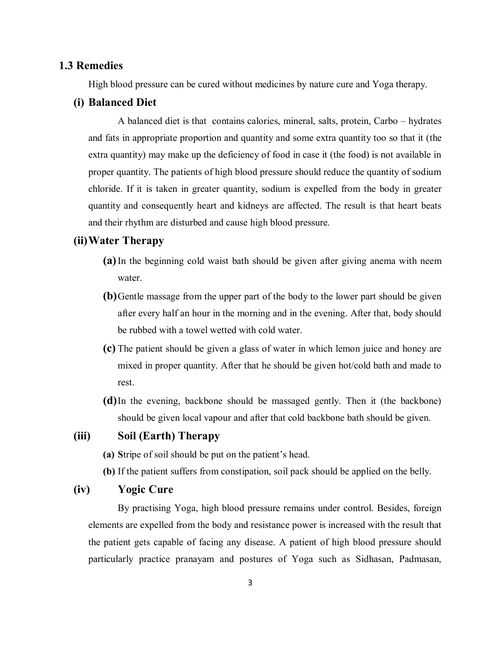#### **1.3 Remedies**

High blood pressure can be cured without medicines by nature cure and Yoga therapy.

#### **(i) Balanced Diet**

A balanced diet is that contains calories, mineral, salts, protein, Carbo – hydrates and fats in appropriate proportion and quantity and some extra quantity too so that it (the extra quantity) may make up the deficiency of food in case it (the food) is not available in proper quantity. The patients of high blood pressure should reduce the quantity of sodium chloride. If it is taken in greater quantity, sodium is expelled from the body in greater quantity and consequently heart and kidneys are affected. The result is that heart beats and their rhythm are disturbed and cause high blood pressure.

# **(ii)Water Therapy**

- **(a)**In the beginning cold waist bath should be given after giving anema with neem water.
- **(b)**Gentle massage from the upper part of the body to the lower part should be given after every half an hour in the morning and in the evening. After that, body should be rubbed with a towel wetted with cold water.
- **(c)** The patient should be given a glass of water in which lemon juice and honey are mixed in proper quantity. After that he should be given hot/cold bath and made to rest.
- **(d)**In the evening, backbone should be massaged gently. Then it (the backbone) should be given local vapour and after that cold backbone bath should be given.

# **(iii) Soil (Earth) Therapy**

- **(a) S**tripe of soil should be put on the patient's head.
- **(b)** If the patient suffers from constipation, soil pack should be applied on the belly.

# **(iv) Yogic Cure**

By practising Yoga, high blood pressure remains under control. Besides, foreign elements are expelled from the body and resistance power is increased with the result that the patient gets capable of facing any disease. A patient of high blood pressure should particularly practice pranayam and postures of Yoga such as Sidhasan, Padmasan,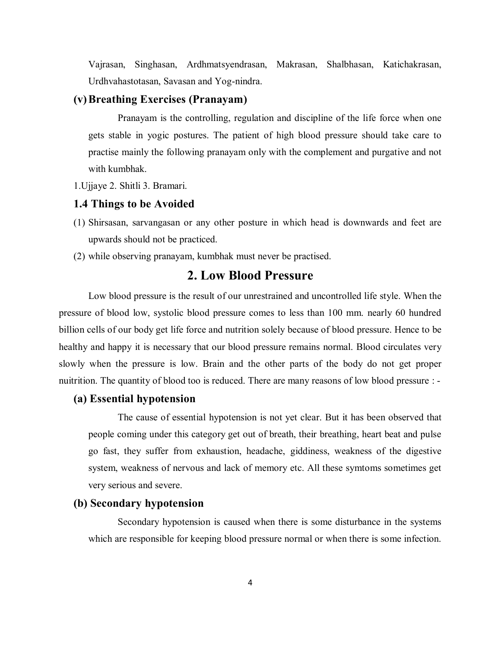Vajrasan, Singhasan, Ardhmatsyendrasan, Makrasan, Shalbhasan, Katichakrasan, Urdhvahastotasan, Savasan and Yog-nindra.

# **(v)Breathing Exercises (Pranayam)**

Pranayam is the controlling, regulation and discipline of the life force when one gets stable in yogic postures. The patient of high blood pressure should take care to practise mainly the following pranayam only with the complement and purgative and not with kumbhak.

1.Ujjaye 2. Shitli 3. Bramari.

# **1.4 Things to be Avoided**

- (1) Shirsasan, sarvangasan or any other posture in which head is downwards and feet are upwards should not be practiced.
- (2) while observing pranayam, kumbhak must never be practised.

# **2. Low Blood Pressure**

Low blood pressure is the result of our unrestrained and uncontrolled life style. When the pressure of blood low, systolic blood pressure comes to less than 100 mm. nearly 60 hundred billion cells of our body get life force and nutrition solely because of blood pressure. Hence to be healthy and happy it is necessary that our blood pressure remains normal. Blood circulates very slowly when the pressure is low. Brain and the other parts of the body do not get proper nuitrition. The quantity of blood too is reduced. There are many reasons of low blood pressure : -

#### **(a) Essential hypotension**

The cause of essential hypotension is not yet clear. But it has been observed that people coming under this category get out of breath, their breathing, heart beat and pulse go fast, they suffer from exhaustion, headache, giddiness, weakness of the digestive system, weakness of nervous and lack of memory etc. All these symtoms sometimes get very serious and severe.

#### **(b) Secondary hypotension**

Secondary hypotension is caused when there is some disturbance in the systems which are responsible for keeping blood pressure normal or when there is some infection.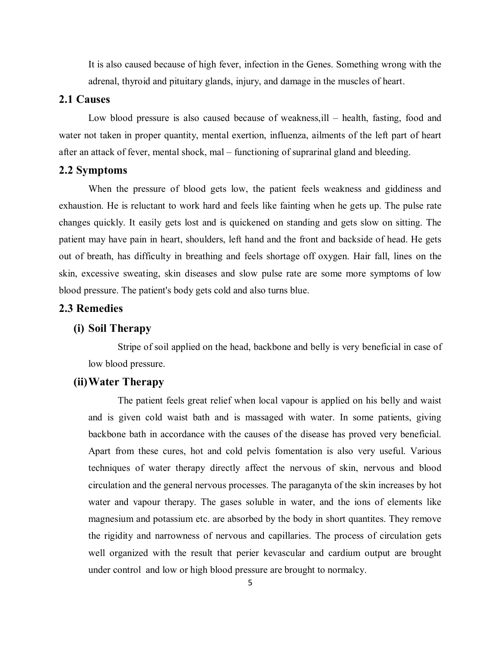It is also caused because of high fever, infection in the Genes. Something wrong with the adrenal, thyroid and pituitary glands, injury, and damage in the muscles of heart.

## **2.1 Causes**

Low blood pressure is also caused because of weakness,ill – health, fasting, food and water not taken in proper quantity, mental exertion, influenza, ailments of the left part of heart after an attack of fever, mental shock, mal – functioning of suprarinal gland and bleeding.

#### **2.2 Symptoms**

When the pressure of blood gets low, the patient feels weakness and giddiness and exhaustion. He is reluctant to work hard and feels like fainting when he gets up. The pulse rate changes quickly. It easily gets lost and is quickened on standing and gets slow on sitting. The patient may have pain in heart, shoulders, left hand and the front and backside of head. He gets out of breath, has difficulty in breathing and feels shortage off oxygen. Hair fall, lines on the skin, excessive sweating, skin diseases and slow pulse rate are some more symptoms of low blood pressure. The patient's body gets cold and also turns blue.

# **2.3 Remedies**

# **(i) Soil Therapy**

Stripe of soil applied on the head, backbone and belly is very beneficial in case of low blood pressure.

# **(ii)Water Therapy**

The patient feels great relief when local vapour is applied on his belly and waist and is given cold waist bath and is massaged with water. In some patients, giving backbone bath in accordance with the causes of the disease has proved very beneficial. Apart from these cures, hot and cold pelvis fomentation is also very useful. Various techniques of water therapy directly affect the nervous of skin, nervous and blood circulation and the general nervous processes. The paraganyta of the skin increases by hot water and vapour therapy. The gases soluble in water, and the ions of elements like magnesium and potassium etc. are absorbed by the body in short quantites. They remove the rigidity and narrowness of nervous and capillaries. The process of circulation gets well organized with the result that perier kevascular and cardium output are brought under control and low or high blood pressure are brought to normalcy.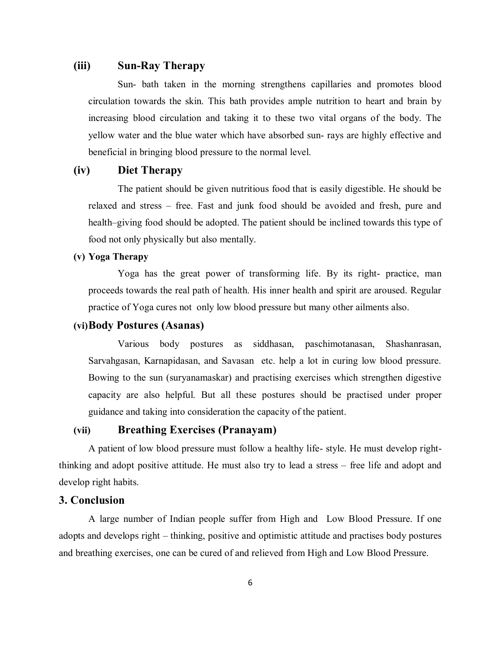# **(iii) Sun-Ray Therapy**

Sun- bath taken in the morning strengthens capillaries and promotes blood circulation towards the skin. This bath provides ample nutrition to heart and brain by increasing blood circulation and taking it to these two vital organs of the body. The yellow water and the blue water which have absorbed sun- rays are highly effective and beneficial in bringing blood pressure to the normal level.

# **(iv) Diet Therapy**

The patient should be given nutritious food that is easily digestible. He should be relaxed and stress – free. Fast and junk food should be avoided and fresh, pure and health–giving food should be adopted. The patient should be inclined towards this type of food not only physically but also mentally.

# **(v) Yoga Therapy**

Yoga has the great power of transforming life. By its right- practice, man proceeds towards the real path of health. His inner health and spirit are aroused. Regular practice of Yoga cures not only low blood pressure but many other ailments also.

# **(vi)Body Postures (Asanas)**

Various body postures as siddhasan, paschimotanasan, Shashanrasan, Sarvahgasan, Karnapidasan, and Savasan etc. help a lot in curing low blood pressure. Bowing to the sun (suryanamaskar) and practising exercises which strengthen digestive capacity are also helpful. But all these postures should be practised under proper guidance and taking into consideration the capacity of the patient.

# **(vii) Breathing Exercises (Pranayam)**

A patient of low blood pressure must follow a healthy life- style. He must develop rightthinking and adopt positive attitude. He must also try to lead a stress – free life and adopt and develop right habits.

# **3. Conclusion**

A large number of Indian people suffer from High and Low Blood Pressure. If one adopts and develops right – thinking, positive and optimistic attitude and practises body postures and breathing exercises, one can be cured of and relieved from High and Low Blood Pressure.